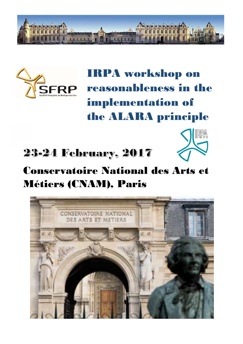



IRPA workshop on reasonableness in the implementation of the ALARA principle

## 23-24 February, 2017



## Conservatoire National des Arts et Métiers (CNAM), Paris

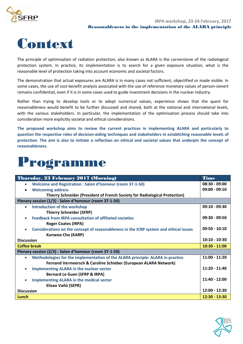



The principle of optimisation of radiation protection, also known as ALARA is the cornerstone of the radiological protection system. In practice, its implementation is to search for a given exposure situation, what is the reasonable level of protection taking into account economic and societal factors.

The demonstration that actual exposures are ALARA is in many cases not sufficient, objectified or made visible. In some cases, the use of cost-benefit analysis associated with the use of reference monetary values of person-sievert remains confidential, even if it is in some cases used to guide investment decisions in the nuclear industry.

Rather than trying to develop tools or to adopt numerical values, experience shows that the quest for reasonableness would benefit to be further discussed and shared, both at the national and international levels, with the various stakeholders. In particular, the implementation of the optimisation process should take into consideration more explicitly societal and ethical considerations.

**The proposed workshop aims to review the current practices in implementing ALARA and particularly to question the respective roles of decision-aiding techniques and stakeholders in establishing reasonable levels of protection. The aim is also to initiate a reflection on ethical and societal values that underpin the concept of reasonableness.**

## Programme

| Thursday, 23 February 2017 (Morning)                                                               | <b>Time</b>     |
|----------------------------------------------------------------------------------------------------|-----------------|
| Welcome and Registration : Salon d'honneur (room 37-1-50)<br>$\bullet$                             | $08:30 - 09:00$ |
| <b>Welcoming address</b><br>$\bullet$                                                              | $09:00 - 09:10$ |
| Thierry Schneider (President of French Society for Radiological Protection)                        |                 |
| Plenary session (1/3) - Salon d'honneur (room 37-1-50)                                             |                 |
| Introduction of the workshop<br>$\bullet$                                                          | $09:10 - 09:30$ |
| <b>Thierry Schneider (SFRP)</b>                                                                    |                 |
| <b>Feedback from IRPA consultation of affiliated societies</b>                                     | $09:30 - 09:50$ |
| <b>Roger Coates (IRPA)</b>                                                                         |                 |
| Considerations on the concept of reasonableness in the ICRP system and ethical issues<br>$\bullet$ | $09:50 - 10:10$ |
| <b>Kunwoo Cho (KARP)</b>                                                                           |                 |
| <b>Discussion</b>                                                                                  | $10:10 - 10-30$ |
| <b>Coffee break</b>                                                                                | $10:30 - 11:00$ |
| Plenary session (2/3) - Salon d'honneur (room 37-1-50)                                             |                 |
| Methodologies for the implementation of the ALARA principle: ALARA in practice<br>$\bullet$        | $11:00 - 11:20$ |
| Fernand Vermeersch & Caroline Schieber (European ALARA Network)                                    |                 |
| <b>Implementing ALARA in the nuclear sector</b>                                                    | $11:20 - 11:40$ |
| <b>Bernard Le Guen (SFRP &amp; IRPA)</b>                                                           |                 |
| <b>Implementing ALARA in the medical sector</b>                                                    | $11:40 - 12:00$ |
| Eliseo Vañó (SEPR)                                                                                 |                 |
| <b>Discussion</b>                                                                                  | 12:00 - 12:30   |
| Lunch                                                                                              | $12:30 - 13:30$ |

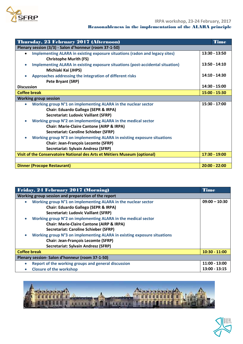

| Thursday, 23 February 2017 (Afternoon)                                                   | <b>Time</b>     |
|------------------------------------------------------------------------------------------|-----------------|
| Plenary session (3/3) - Salon d'honneur (room 37-1-50)                                   |                 |
| Implementing ALARA in existing exposure situations (radon and legacy sites)<br>$\bullet$ | $13:30 - 13:50$ |
| <b>Christophe Murith (FS)</b>                                                            |                 |
| Implementing ALARA in existing exposure situations (post-accidental situation)           | $13:50 - 14:10$ |
| Michiaki Kai (JHPS)                                                                      |                 |
| Approaches addressing the integration of different risks<br>$\bullet$                    | 14:10 - 14:30   |
| Pete Bryant (SRP)                                                                        |                 |
| <b>Discussion</b>                                                                        | $14:30 - 15:00$ |
| <b>Coffee break</b>                                                                      | $15:00 - 15:30$ |
| <b>Working group session</b>                                                             |                 |
| Working group N°1 on implementing ALARA in the nuclear sector<br>$\bullet$               | $15:30 - 17:00$ |
| <b>Chair: Eduardo Gallego (SEPR &amp; IRPA)</b>                                          |                 |
| <b>Secretariat: Ludovic Vaillant (SFRP)</b>                                              |                 |
| Working group N°2 on implementing ALARA in the medical sector<br>$\bullet$               |                 |
| <b>Chair: Marie-Claire Cantone (AIRP &amp; IRPA)</b>                                     |                 |
| <b>Secretariat: Caroline Schieber (SFRP)</b>                                             |                 |
| Working group N°3 on implementing ALARA in existing exposure situations                  |                 |
| <b>Chair: Jean-François Lecomte (SFRP)</b>                                               |                 |
| <b>Secretariat: Sylvain Andresz (SFRP)</b>                                               |                 |
| Visit of the Conservatoire National des Arts et Métiers Museum (optional)                | $17:30 - 19:00$ |
|                                                                                          |                 |
| <b>Dinner (Procope Restaurant)</b>                                                       | $20:00 - 22:00$ |

| Friday, 24 February 2017 (Morning)                                         |                 |
|----------------------------------------------------------------------------|-----------------|
| Working group session and preparation of the report                        |                 |
| Working group N°1 on implementing ALARA in the nuclear sector<br>$\bullet$ | $09:00 - 10:30$ |
| <b>Chair: Eduardo Gallego (SEPR &amp; IRPA)</b>                            |                 |
| <b>Secretariat: Ludovic Vaillant (SFRP)</b>                                |                 |
| Working group N°2 on implementing ALARA in the medical sector<br>$\bullet$ |                 |
| <b>Chair: Marie-Claire Cantone (AIRP &amp; IRPA)</b>                       |                 |
| <b>Secretariat: Caroline Schieber (SFRP)</b>                               |                 |
| Working group N°3 on implementing ALARA in existing exposure situations    |                 |
| <b>Chair: Jean-François Lecomte (SFRP)</b>                                 |                 |
| Secretariat: Sylvain Andresz (SFRP)                                        |                 |
| <b>Coffee break</b>                                                        | $10:30 - 11:00$ |
| Plenary session- Salon d'honneur (room 37-1-50)                            |                 |
| Report of the working groups and general discussion<br>$\bullet$           | $11:00 - 13:00$ |
| <b>Closure of the workshop</b><br>$\bullet$                                | 13:00 - 13:15   |



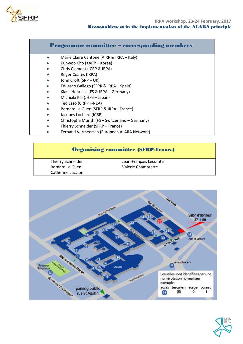

#### Programme committee – corresponding members

- **•** Marie Claire Cantone (AIRP & IRPA Italy)
- Kunwoo Cho (KARP Korea)
- Chris Clement (ICRP & IRPA)
- Roger Coates (IRPA)
- John Croft (SRP UK)
- Eduardo Gallego (SEPR & IRPA Spain)
- Klaus Henrichs (FS & IRPA Germany)
- Michiaki Kai (JHPS Japan)
- Ted Lazo (CRPPH-NEA)
- Bernard Le Guen (SFRP & IRPA France)
- Jacques Lochard (ICRP)
- Christophe Murith (FS Switzerland Germany)
- Thierry Schneider (SFRP France)
- Fernand Vermeersch (European ALARA Network)

#### Organising committee (SFRP-France)

Thierry Schneider **Jean-François** Lecomte Catherine Luccioni

Bernard Le Guen Valerie Chambrette



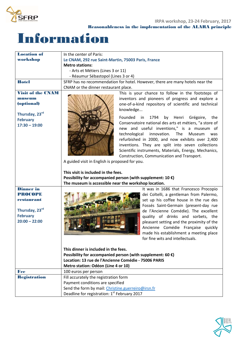

# Information

| <b>Location of</b>                                                                                       | In the center of Paris:                                                                                                                                                                                                                                                                                                                                                                                                                                                                                                                                                    |  |  |
|----------------------------------------------------------------------------------------------------------|----------------------------------------------------------------------------------------------------------------------------------------------------------------------------------------------------------------------------------------------------------------------------------------------------------------------------------------------------------------------------------------------------------------------------------------------------------------------------------------------------------------------------------------------------------------------------|--|--|
| workshop                                                                                                 | Le CNAM, 292 rue Saint-Martin, 75003 Paris, France                                                                                                                                                                                                                                                                                                                                                                                                                                                                                                                         |  |  |
|                                                                                                          | <b>Metro stations:</b>                                                                                                                                                                                                                                                                                                                                                                                                                                                                                                                                                     |  |  |
|                                                                                                          | - Arts et Métiers (Lines 3 or 11)                                                                                                                                                                                                                                                                                                                                                                                                                                                                                                                                          |  |  |
|                                                                                                          | - Réaumur Sébastopol (Lines 3 or 4)                                                                                                                                                                                                                                                                                                                                                                                                                                                                                                                                        |  |  |
| <b>Hotel</b>                                                                                             | SFRP has no recommendation for hotel. However, there are many hotels near the                                                                                                                                                                                                                                                                                                                                                                                                                                                                                              |  |  |
|                                                                                                          | CNAM or the dinner restaurant place.                                                                                                                                                                                                                                                                                                                                                                                                                                                                                                                                       |  |  |
| <b>Visit of the CNAM</b><br>museum<br>(optional)<br>Thursday, 23rd<br><b>February</b><br>$17:30 - 19:00$ | This is your chance to follow in the footsteps of<br>inventors and pioneers of progress and explore a<br>one-of-a-kind repository of scientific and technical<br>knowledge<br>Founded<br>1794<br>by Henri<br>Grégoire,<br>in<br>the<br>Conservatoire national des arts et métiers, "a store of<br>new and useful inventions," is a museum of<br>technological innovation.<br><b>The</b><br>Museum<br>was<br>refurbished in 2000, and now exhibits over 2,400<br>inventions. They are split into seven collections<br>Scientific instruments, Materials, Energy, Mechanics, |  |  |
|                                                                                                          | Construction, Communication and Transport.                                                                                                                                                                                                                                                                                                                                                                                                                                                                                                                                 |  |  |
|                                                                                                          | A guided visit in English is proposed for you.                                                                                                                                                                                                                                                                                                                                                                                                                                                                                                                             |  |  |
|                                                                                                          | This visit is included in the fees.<br>Possibility for accompanied person (with supplement: 10 $\epsilon$ )<br>The museum is accessible near the workshop location.                                                                                                                                                                                                                                                                                                                                                                                                        |  |  |
| <b>Dinner</b> in                                                                                         | It was in 1686 that Francesco Procopio                                                                                                                                                                                                                                                                                                                                                                                                                                                                                                                                     |  |  |
| PROCOPE                                                                                                  | dei Coltelli, a gentleman from Palermo,                                                                                                                                                                                                                                                                                                                                                                                                                                                                                                                                    |  |  |
| restaurant                                                                                               | set up his coffee house in the rue des                                                                                                                                                                                                                                                                                                                                                                                                                                                                                                                                     |  |  |
|                                                                                                          | Fossés Saint-Germain (present-day rue                                                                                                                                                                                                                                                                                                                                                                                                                                                                                                                                      |  |  |
| Thursday, 23rd                                                                                           | de l'Ancienne Comédie). The excellent                                                                                                                                                                                                                                                                                                                                                                                                                                                                                                                                      |  |  |
| <b>February</b>                                                                                          | quality of drinks and sorbets, the                                                                                                                                                                                                                                                                                                                                                                                                                                                                                                                                         |  |  |
| $20:00 - 22:00$                                                                                          | pleasant setting and the proximity of the                                                                                                                                                                                                                                                                                                                                                                                                                                                                                                                                  |  |  |
|                                                                                                          | Ancienne Comédie Française quickly                                                                                                                                                                                                                                                                                                                                                                                                                                                                                                                                         |  |  |
|                                                                                                          | made his establishment a meeting place                                                                                                                                                                                                                                                                                                                                                                                                                                                                                                                                     |  |  |
|                                                                                                          | for fine wits and intellectuals.                                                                                                                                                                                                                                                                                                                                                                                                                                                                                                                                           |  |  |
|                                                                                                          |                                                                                                                                                                                                                                                                                                                                                                                                                                                                                                                                                                            |  |  |
|                                                                                                          | This dinner is included in the fees.                                                                                                                                                                                                                                                                                                                                                                                                                                                                                                                                       |  |  |
|                                                                                                          | Possibility for accompanied person (with supplement: 60 $\epsilon$ )                                                                                                                                                                                                                                                                                                                                                                                                                                                                                                       |  |  |
|                                                                                                          | Location: 13 rue de l'Ancienne Comédie - 75006 PARIS                                                                                                                                                                                                                                                                                                                                                                                                                                                                                                                       |  |  |
| Fee                                                                                                      | Metro station: Odéon (Line 4 or 10)<br>100 euros per person                                                                                                                                                                                                                                                                                                                                                                                                                                                                                                                |  |  |
| <b>Registration</b>                                                                                      | Fill accurately the registration form                                                                                                                                                                                                                                                                                                                                                                                                                                                                                                                                      |  |  |
|                                                                                                          | Payment conditions are specified                                                                                                                                                                                                                                                                                                                                                                                                                                                                                                                                           |  |  |
|                                                                                                          | Send the form by mail: Christine.guerreiro@irsn.fr                                                                                                                                                                                                                                                                                                                                                                                                                                                                                                                         |  |  |
|                                                                                                          |                                                                                                                                                                                                                                                                                                                                                                                                                                                                                                                                                                            |  |  |